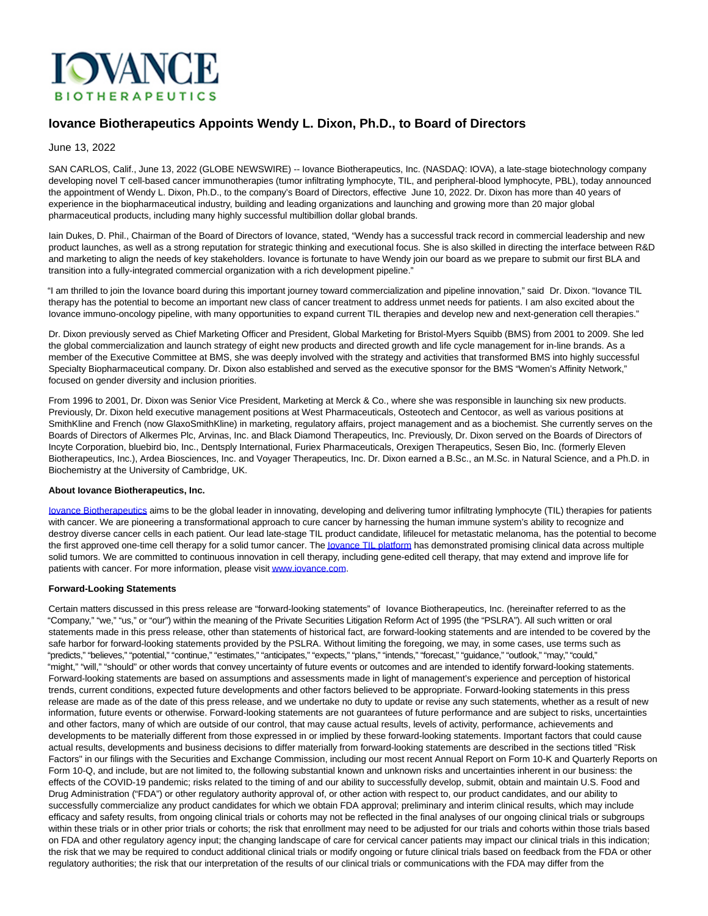

## **Iovance Biotherapeutics Appoints Wendy L. Dixon, Ph.D., to Board of Directors**

#### June 13, 2022

SAN CARLOS, Calif., June 13, 2022 (GLOBE NEWSWIRE) -- Iovance Biotherapeutics, Inc. (NASDAQ: IOVA), a late-stage biotechnology company developing novel T cell-based cancer immunotherapies (tumor infiltrating lymphocyte, TIL, and peripheral-blood lymphocyte, PBL), today announced the appointment of Wendy L. Dixon, Ph.D., to the company's Board of Directors, effective June 10, 2022. Dr. Dixon has more than 40 years of experience in the biopharmaceutical industry, building and leading organizations and launching and growing more than 20 major global pharmaceutical products, including many highly successful multibillion dollar global brands.

Iain Dukes, D. Phil., Chairman of the Board of Directors of Iovance, stated, "Wendy has a successful track record in commercial leadership and new product launches, as well as a strong reputation for strategic thinking and executional focus. She is also skilled in directing the interface between R&D and marketing to align the needs of key stakeholders. Iovance is fortunate to have Wendy join our board as we prepare to submit our first BLA and transition into a fully-integrated commercial organization with a rich development pipeline."

"I am thrilled to join the Iovance board during this important journey toward commercialization and pipeline innovation," said Dr. Dixon. "Iovance TIL therapy has the potential to become an important new class of cancer treatment to address unmet needs for patients. I am also excited about the Iovance immuno-oncology pipeline, with many opportunities to expand current TIL therapies and develop new and next-generation cell therapies."

Dr. Dixon previously served as Chief Marketing Officer and President, Global Marketing for Bristol-Myers Squibb (BMS) from 2001 to 2009. She led the global commercialization and launch strategy of eight new products and directed growth and life cycle management for in-line brands. As a member of the Executive Committee at BMS, she was deeply involved with the strategy and activities that transformed BMS into highly successful Specialty Biopharmaceutical company. Dr. Dixon also established and served as the executive sponsor for the BMS "Women's Affinity Network," focused on gender diversity and inclusion priorities.

From 1996 to 2001, Dr. Dixon was Senior Vice President, Marketing at Merck & Co., where she was responsible in launching six new products. Previously, Dr. Dixon held executive management positions at West Pharmaceuticals, Osteotech and Centocor, as well as various positions at SmithKline and French (now GlaxoSmithKline) in marketing, regulatory affairs, project management and as a biochemist. She currently serves on the Boards of Directors of Alkermes Plc, Arvinas, Inc. and Black Diamond Therapeutics, Inc. Previously, Dr. Dixon served on the Boards of Directors of Incyte Corporation, bluebird bio, Inc., Dentsply International, Furiex Pharmaceuticals, Orexigen Therapeutics, Sesen Bio, Inc. (formerly Eleven Biotherapeutics, Inc.), Ardea Biosciences, Inc. and Voyager Therapeutics, Inc. Dr. Dixon earned a B.Sc., an M.Sc. in Natural Science, and a Ph.D. in Biochemistry at the University of Cambridge, UK.

#### **About Iovance Biotherapeutics, Inc.**

[Iovance Biotherapeutics a](https://www.iovance.com/)ims to be the global leader in innovating, developing and delivering tumor infiltrating lymphocyte (TIL) therapies for patients with cancer. We are pioneering a transformational approach to cure cancer by harnessing the human immune system's ability to recognize and destroy diverse cancer cells in each patient. Our lead late-stage TIL product candidate, lifileucel for metastatic melanoma, has the potential to become the first approved one-time cell therapy for a solid tumor cancer. The **lovance TIL platform** has demonstrated promising clinical data across multiple solid tumors. We are committed to continuous innovation in cell therapy, including gene-edited cell therapy, that may extend and improve life for patients with cancer. For more information, please visi[t www.iovance.com.](http://www.iovance.com/)

#### **Forward-Looking Statements**

Certain matters discussed in this press release are "forward-looking statements" of Iovance Biotherapeutics, Inc. (hereinafter referred to as the "Company," "we," "us," or "our") within the meaning of the Private Securities Litigation Reform Act of 1995 (the "PSLRA"). All such written or oral statements made in this press release, other than statements of historical fact, are forward-looking statements and are intended to be covered by the safe harbor for forward-looking statements provided by the PSLRA. Without limiting the foregoing, we may, in some cases, use terms such as "predicts," "believes," "potential," "continue," "estimates," "anticipates," "expects," "plans," "intends," "forecast," "guidance," "outlook," "may," "could," "might," "will," "should" or other words that convey uncertainty of future events or outcomes and are intended to identify forward-looking statements. Forward-looking statements are based on assumptions and assessments made in light of management's experience and perception of historical trends, current conditions, expected future developments and other factors believed to be appropriate. Forward-looking statements in this press release are made as of the date of this press release, and we undertake no duty to update or revise any such statements, whether as a result of new information, future events or otherwise. Forward-looking statements are not guarantees of future performance and are subject to risks, uncertainties and other factors, many of which are outside of our control, that may cause actual results, levels of activity, performance, achievements and developments to be materially different from those expressed in or implied by these forward-looking statements. Important factors that could cause actual results, developments and business decisions to differ materially from forward-looking statements are described in the sections titled "Risk Factors" in our filings with the Securities and Exchange Commission, including our most recent Annual Report on Form 10-K and Quarterly Reports on Form 10-Q, and include, but are not limited to, the following substantial known and unknown risks and uncertainties inherent in our business: the effects of the COVID-19 pandemic; risks related to the timing of and our ability to successfully develop, submit, obtain and maintain U.S. Food and Drug Administration ("FDA") or other regulatory authority approval of, or other action with respect to, our product candidates, and our ability to successfully commercialize any product candidates for which we obtain FDA approval; preliminary and interim clinical results, which may include efficacy and safety results, from ongoing clinical trials or cohorts may not be reflected in the final analyses of our ongoing clinical trials or subgroups within these trials or in other prior trials or cohorts; the risk that enrollment may need to be adjusted for our trials and cohorts within those trials based on FDA and other regulatory agency input; the changing landscape of care for cervical cancer patients may impact our clinical trials in this indication; the risk that we may be required to conduct additional clinical trials or modify ongoing or future clinical trials based on feedback from the FDA or other regulatory authorities; the risk that our interpretation of the results of our clinical trials or communications with the FDA may differ from the